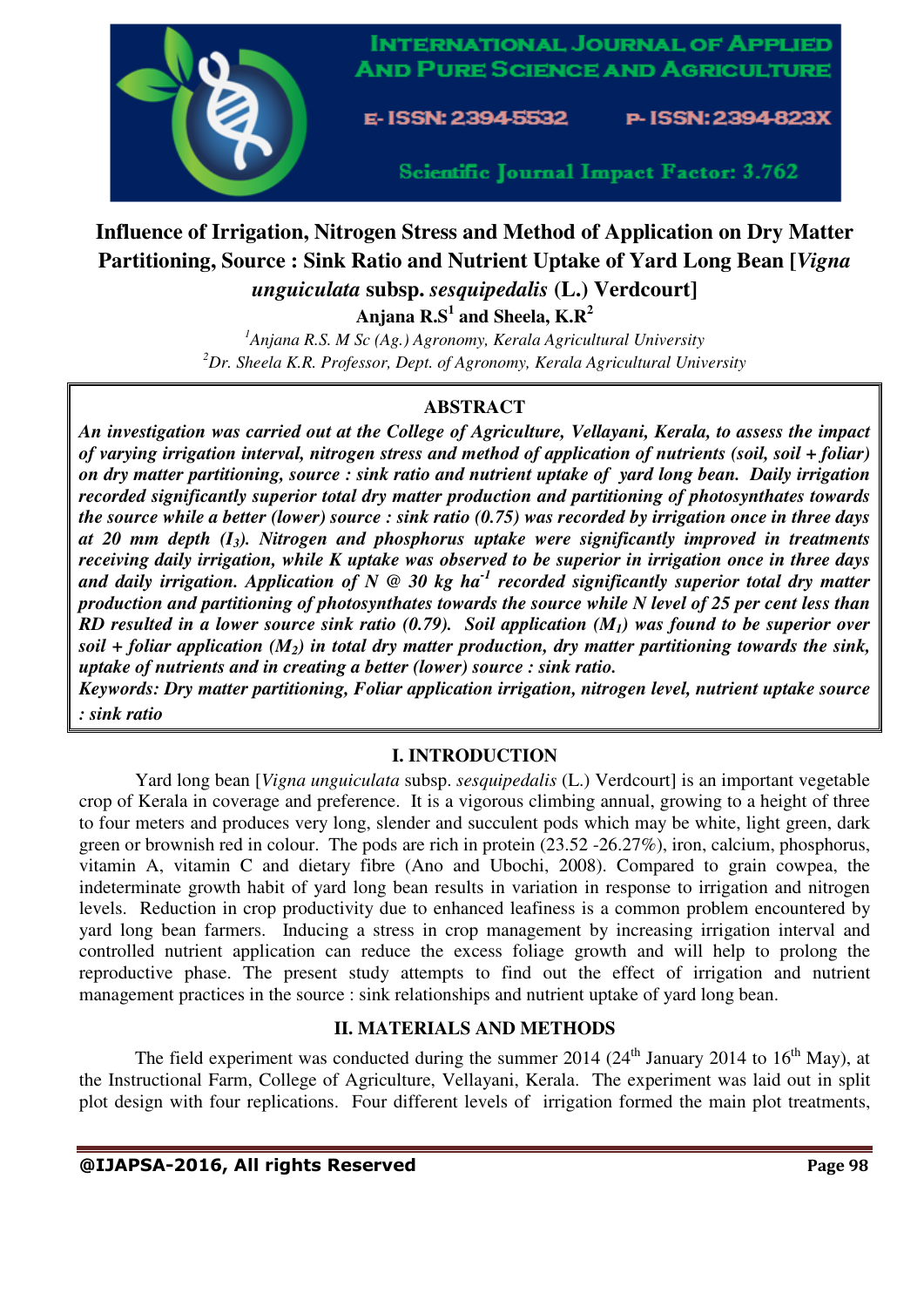

**INTERNATIONAL JOURNAL OF APPLIED AND PURE SCIENCE AND AGRICULTURE** 

E-ISSN: 2394-5532

P-ISSN: 2394-823X

Scientific Journal Impact Factor: 3.762

# **Influence of Irrigation, Nitrogen Stress and Method of Application on Dry Matter Partitioning, Source : Sink Ratio and Nutrient Uptake of Yard Long Bean [***Vigna*

*unguiculata* **subsp.** *sesquipedalis* **(L.) Verdcourt]** 

**Anjana R.S<sup>1</sup> and Sheela, K.R<sup>2</sup>**

*<sup>1</sup>Anjana R.S. M Sc (Ag.) Agronomy, Kerala Agricultural University <sup>2</sup>Dr. Sheela K.R. Professor, Dept. of Agronomy, Kerala Agricultural University* 

# **ABSTRACT**

*An investigation was carried out at the College of Agriculture, Vellayani, Kerala, to assess the impact of varying irrigation interval, nitrogen stress and method of application of nutrients (soil, soil + foliar) on dry matter partitioning, source : sink ratio and nutrient uptake of yard long bean. Daily irrigation recorded significantly superior total dry matter production and partitioning of photosynthates towards the source while a better (lower) source : sink ratio (0.75) was recorded by irrigation once in three days at 20 mm depth (I3). Nitrogen and phosphorus uptake were significantly improved in treatments receiving daily irrigation, while K uptake was observed to be superior in irrigation once in three days and daily irrigation. Application of N @ 30 kg ha-1 recorded significantly superior total dry matter production and partitioning of photosynthates towards the source while N level of 25 per cent less than RD resulted in a lower source sink ratio (0.79). Soil application (M1) was found to be superior over soil + foliar application (M2) in total dry matter production, dry matter partitioning towards the sink, uptake of nutrients and in creating a better (lower) source : sink ratio.* 

*Keywords: Dry matter partitioning, Foliar application irrigation, nitrogen level, nutrient uptake source : sink ratio* 

# **I. INTRODUCTION**

 Yard long bean [*Vigna unguiculata* subsp. *sesquipedalis* (L.) Verdcourt] is an important vegetable crop of Kerala in coverage and preference. It is a vigorous climbing annual, growing to a height of three to four meters and produces very long, slender and succulent pods which may be white, light green, dark green or brownish red in colour. The pods are rich in protein (23.52 -26.27%), iron, calcium, phosphorus, vitamin A, vitamin C and dietary fibre (Ano and Ubochi, 2008). Compared to grain cowpea, the indeterminate growth habit of yard long bean results in variation in response to irrigation and nitrogen levels. Reduction in crop productivity due to enhanced leafiness is a common problem encountered by yard long bean farmers. Inducing a stress in crop management by increasing irrigation interval and controlled nutrient application can reduce the excess foliage growth and will help to prolong the reproductive phase. The present study attempts to find out the effect of irrigation and nutrient management practices in the source : sink relationships and nutrient uptake of yard long bean.

# **II. MATERIALS AND METHODS**

The field experiment was conducted during the summer 2014 ( $24<sup>th</sup>$  January 2014 to  $16<sup>th</sup>$  May), at the Instructional Farm, College of Agriculture, Vellayani, Kerala. The experiment was laid out in split plot design with four replications. Four different levels of irrigation formed the main plot treatments,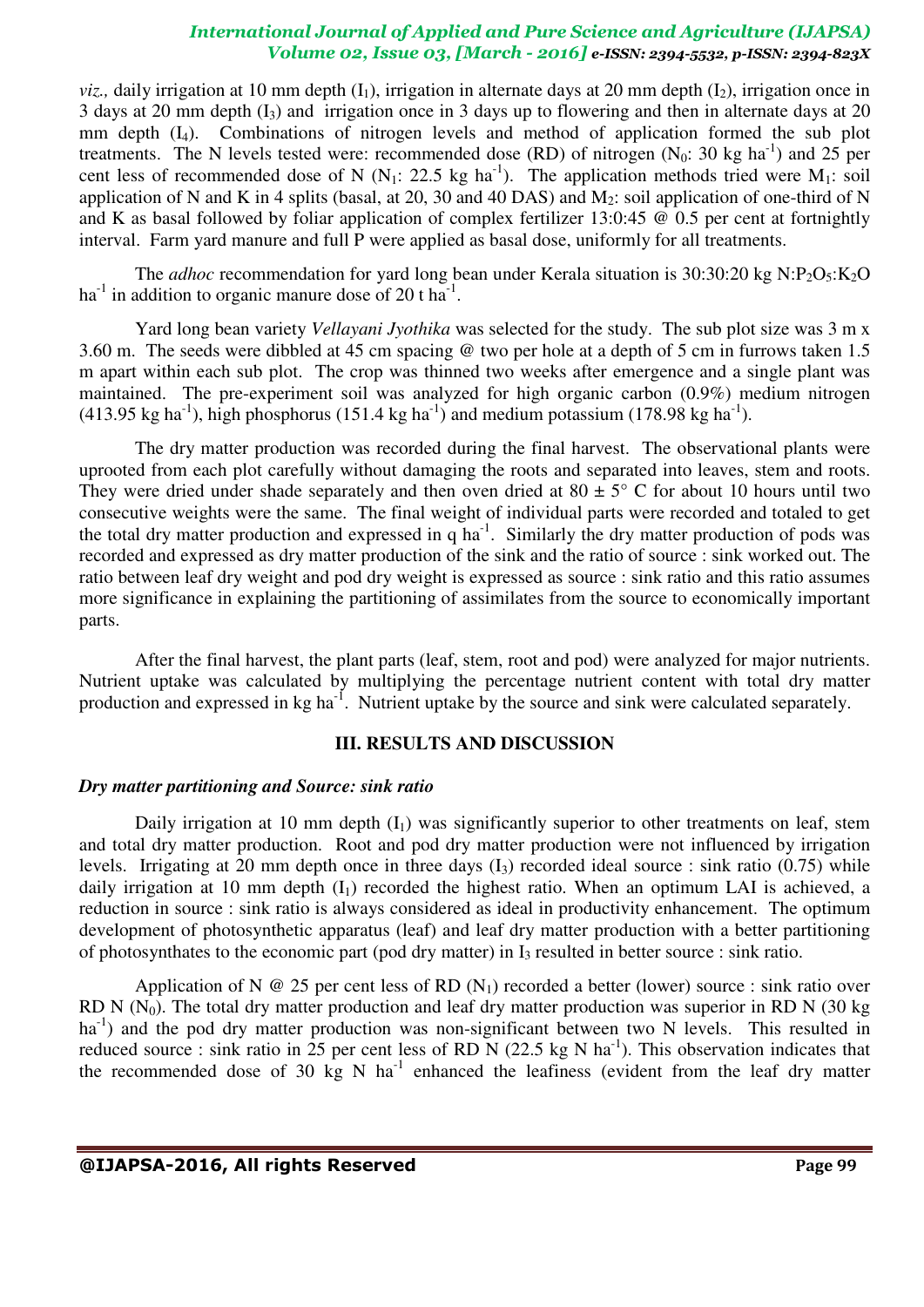$viz.$ , daily irrigation at 10 mm depth  $(I_1)$ , irrigation in alternate days at 20 mm depth  $(I_2)$ , irrigation once in 3 days at 20 mm depth  $(I_3)$  and irrigation once in 3 days up to flowering and then in alternate days at 20 mm depth  $(L)$ . Combinations of nitrogen levels and method of application formed the sub plot treatments. The N levels tested were: recommended dose (RD) of nitrogen  $(N_0: 30 \text{ kg ha}^{-1})$  and 25 per cent less of recommended dose of N (N<sub>1</sub>: 22.5 kg ha<sup>-1</sup>). The application methods tried were M<sub>1</sub>: soil application of N and K in 4 splits (basal, at 20, 30 and 40 DAS) and  $M_2$ : soil application of one-third of N and K as basal followed by foliar application of complex fertilizer 13:0:45 @ 0.5 per cent at fortnightly interval. Farm yard manure and full P were applied as basal dose, uniformly for all treatments.

The *adhoc* recommendation for yard long bean under Kerala situation is 30:30:20 kg N:P<sub>2</sub>O<sub>5</sub>:K<sub>2</sub>O ha<sup>-1</sup> in addition to organic manure dose of 20 t ha<sup>-1</sup>.

 Yard long bean variety *Vellayani Jyothika* was selected for the study. The sub plot size was 3 m x 3.60 m. The seeds were dibbled at 45 cm spacing @ two per hole at a depth of 5 cm in furrows taken 1.5 m apart within each sub plot. The crop was thinned two weeks after emergence and a single plant was maintained. The pre-experiment soil was analyzed for high organic carbon (0.9%) medium nitrogen  $(413.95 \text{ kg ha}^{-1})$ , high phosphorus  $(151.4 \text{ kg ha}^{-1})$  and medium potassium  $(178.98 \text{ kg ha}^{-1})$ .

 The dry matter production was recorded during the final harvest. The observational plants were uprooted from each plot carefully without damaging the roots and separated into leaves, stem and roots. They were dried under shade separately and then oven dried at  $80 \pm 5^{\circ}$  C for about 10 hours until two consecutive weights were the same. The final weight of individual parts were recorded and totaled to get the total dry matter production and expressed in  $q$  ha<sup>-1</sup>. Similarly the dry matter production of pods was recorded and expressed as dry matter production of the sink and the ratio of source : sink worked out. The ratio between leaf dry weight and pod dry weight is expressed as source : sink ratio and this ratio assumes more significance in explaining the partitioning of assimilates from the source to economically important parts.

 After the final harvest, the plant parts (leaf, stem, root and pod) were analyzed for major nutrients. Nutrient uptake was calculated by multiplying the percentage nutrient content with total dry matter production and expressed in kg ha<sup>-1</sup>. Nutrient uptake by the source and sink were calculated separately.

#### **III. RESULTS AND DISCUSSION**

#### *Dry matter partitioning and Source: sink ratio*

Daily irrigation at 10 mm depth  $(I_1)$  was significantly superior to other treatments on leaf, stem and total dry matter production. Root and pod dry matter production were not influenced by irrigation levels. Irrigating at 20 mm depth once in three days  $(I_3)$  recorded ideal source : sink ratio  $(0.75)$  while daily irrigation at 10 mm depth  $(I_1)$  recorded the highest ratio. When an optimum LAI is achieved, a reduction in source : sink ratio is always considered as ideal in productivity enhancement. The optimum development of photosynthetic apparatus (leaf) and leaf dry matter production with a better partitioning of photosynthates to the economic part (pod dry matter) in  $I_3$  resulted in better source : sink ratio.

Application of N  $\omega$  25 per cent less of RD (N<sub>1</sub>) recorded a better (lower) source : sink ratio over RD N  $(N_0)$ . The total dry matter production and leaf dry matter production was superior in RD N (30 kg) ha<sup>-1</sup>) and the pod dry matter production was non-significant between two N levels. This resulted in reduced source : sink ratio in 25 per cent less of RD N (22.5 kg N ha<sup>-1</sup>). This observation indicates that the recommended dose of 30  $kg$  N ha<sup>-1</sup> enhanced the leafiness (evident from the leaf dry matter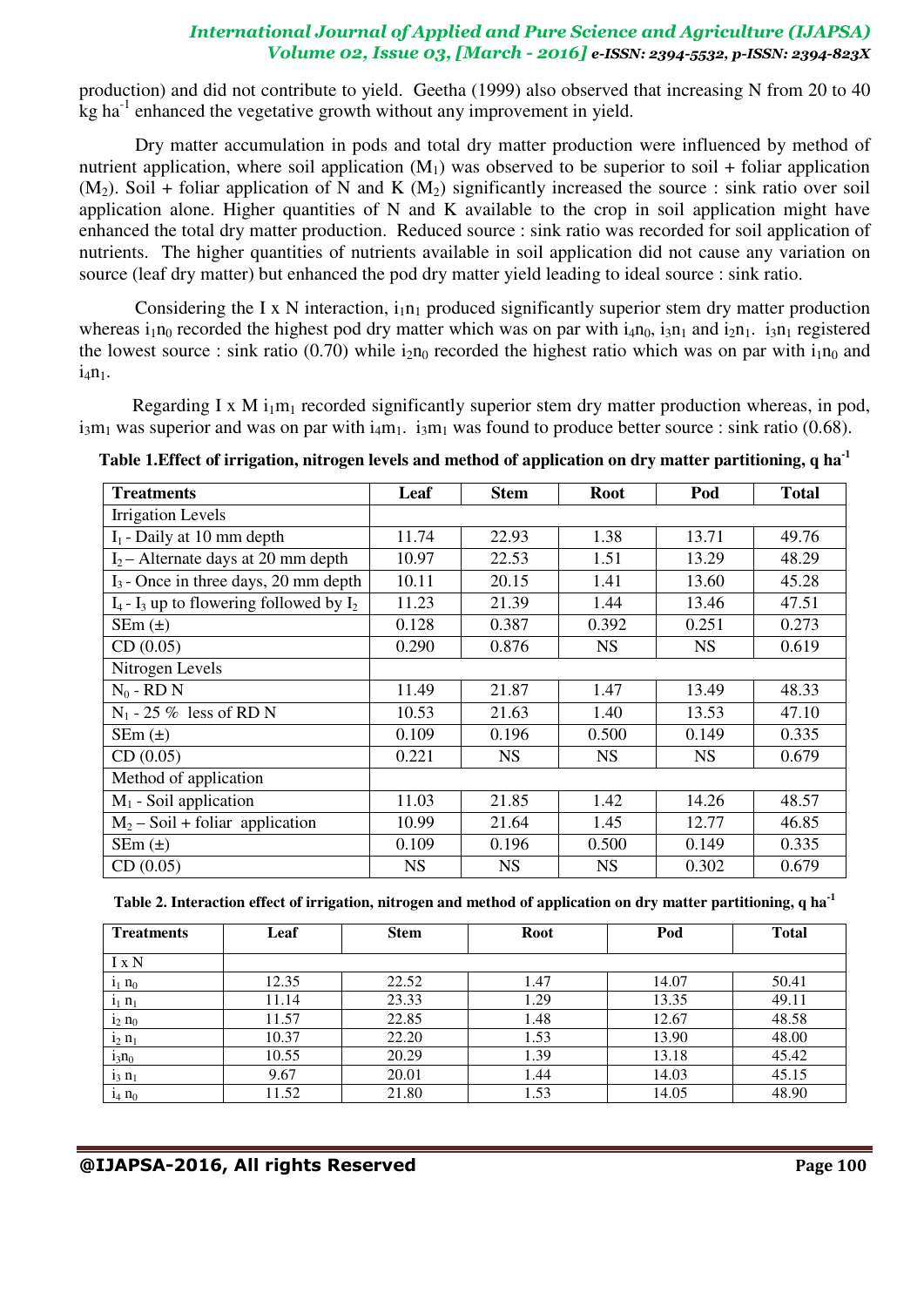production) and did not contribute to yield. Geetha (1999) also observed that increasing N from 20 to 40  $kg$  ha<sup>-1</sup> enhanced the vegetative growth without any improvement in yield.

 Dry matter accumulation in pods and total dry matter production were influenced by method of nutrient application, where soil application  $(M_1)$  was observed to be superior to soil + foliar application  $(M_2)$ . Soil + foliar application of N and K  $(M_2)$  significantly increased the source : sink ratio over soil application alone. Higher quantities of N and K available to the crop in soil application might have enhanced the total dry matter production. Reduced source : sink ratio was recorded for soil application of nutrients. The higher quantities of nutrients available in soil application did not cause any variation on source (leaf dry matter) but enhanced the pod dry matter yield leading to ideal source : sink ratio.

Considering the I x N interaction,  $i_1n_1$  produced significantly superior stem dry matter production whereas  $i_1n_0$  recorded the highest pod dry matter which was on par with  $i_4n_0$ ,  $i_3n_1$  and  $i_2n_1$ .  $i_3n_1$  registered the lowest source : sink ratio (0.70) while  $i_{2n}$  recorded the highest ratio which was on par with  $i_{1n}$  and  $i_4n_1$ .

Regarding I x M  $i_1m_1$  recorded significantly superior stem dry matter production whereas, in pod,  $i_3m_1$  was superior and was on par with  $i_4m_1$ .  $i_3m_1$  was found to produce better source : sink ratio (0.68).

| <b>Treatments</b>                               | Leaf      | <b>Stem</b> | <b>Root</b> | Pod       | <b>Total</b> |
|-------------------------------------------------|-----------|-------------|-------------|-----------|--------------|
| <b>Irrigation Levels</b>                        |           |             |             |           |              |
| $I_1$ - Daily at 10 mm depth                    | 11.74     | 22.93       | 1.38        | 13.71     | 49.76        |
| $I_2$ – Alternate days at 20 mm depth           | 10.97     | 22.53       | 1.51        | 13.29     | 48.29        |
| $I_3$ - Once in three days, 20 mm depth         | 10.11     | 20.15       | 1.41        | 13.60     | 45.28        |
| $I_4$ - $I_3$ up to flowering followed by $I_2$ | 11.23     | 21.39       | 1.44        | 13.46     | 47.51        |
| $SEm(\pm)$                                      | 0.128     | 0.387       | 0.392       | 0.251     | 0.273        |
| CD(0.05)                                        | 0.290     | 0.876       | <b>NS</b>   | <b>NS</b> | 0.619        |
| Nitrogen Levels                                 |           |             |             |           |              |
| $N_0$ - RD N                                    | 11.49     | 21.87       | 1.47        | 13.49     | 48.33        |
| $N_1$ - 25 % less of RD N                       | 10.53     | 21.63       | 1.40        | 13.53     | 47.10        |
| $SEm(\pm)$                                      | 0.109     | 0.196       | 0.500       | 0.149     | 0.335        |
| CD(0.05)                                        | 0.221     | <b>NS</b>   | <b>NS</b>   | <b>NS</b> | 0.679        |
| Method of application                           |           |             |             |           |              |
| $M_1$ - Soil application                        | 11.03     | 21.85       | 1.42        | 14.26     | 48.57        |
| $M_2 -$ Soil + foliar application               | 10.99     | 21.64       | 1.45        | 12.77     | 46.85        |
| $SEm(\pm)$                                      | 0.109     | 0.196       | 0.500       | 0.149     | 0.335        |
| CD(0.05)                                        | <b>NS</b> | <b>NS</b>   | <b>NS</b>   | 0.302     | 0.679        |

**Table 1.Effect of irrigation, nitrogen levels and method of application on dry matter partitioning, q ha-1**

**Table 2. Interaction effect of irrigation, nitrogen and method of application on dry matter partitioning, q ha-1**

| <b>Treatments</b> | Leaf  | <b>Stem</b> | <b>Root</b> | Pod   | <b>Total</b> |
|-------------------|-------|-------------|-------------|-------|--------------|
| I x N             |       |             |             |       |              |
| $i_1$ $n_0$       | 12.35 | 22.52       | 1.47        | 14.07 | 50.41        |
| $i_1$ $n_1$       | 11.14 | 23.33       | 1.29        | 13.35 | 49.11        |
| $1_2 \text{ n}_0$ | 11.57 | 22.85       | 1.48        | 12.67 | 48.58        |
| $i_2$ $n_1$       | 10.37 | 22.20       | 1.53        | 13.90 | 48.00        |
| $i_3n_0$          | 10.55 | 20.29       | 1.39        | 13.18 | 45.42        |
| $i_3 n_1$         | 9.67  | 20.01       | 1.44        | 14.03 | 45.15        |
| $i_4$ $n_0$       | 11.52 | 21.80       | 1.53        | 14.05 | 48.90        |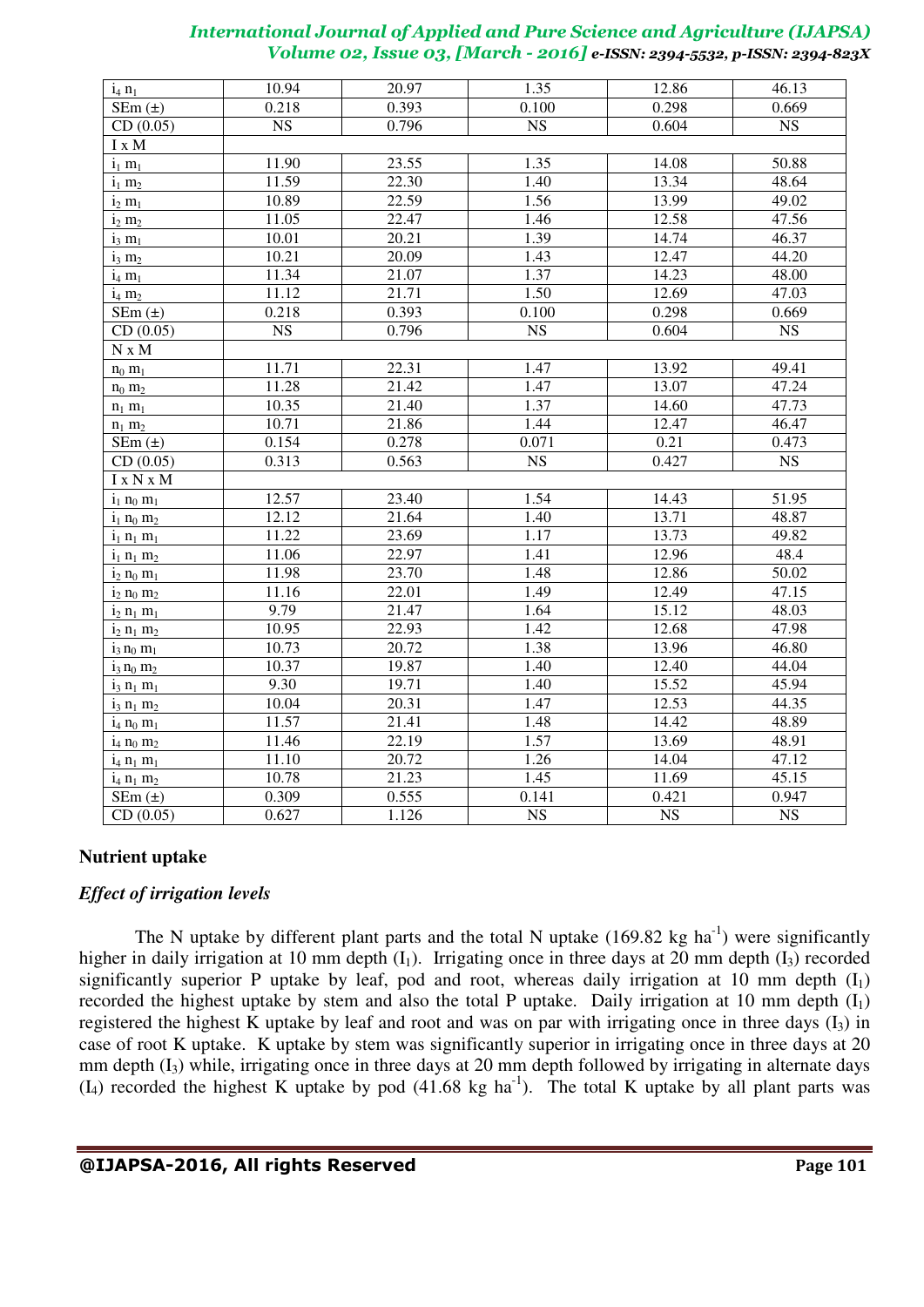| $i_4$ $n_1$                         | 10.94     | 20.97 | 1.35                   | 12.86                  | 46.13                  |
|-------------------------------------|-----------|-------|------------------------|------------------------|------------------------|
| $SEm(\pm)$                          | 0.218     | 0.393 | 0.100                  | 0.298                  | 0.669                  |
| CD(0.05)                            | <b>NS</b> | 0.796 | <b>NS</b>              | 0.604                  | <b>NS</b>              |
| I x M                               |           |       |                        |                        |                        |
| $i_1$ $m_1$                         | 11.90     | 23.55 | 1.35                   | 14.08                  | 50.88                  |
| $i_1$ $m_2$                         | 11.59     | 22.30 | 1.40                   | 13.34                  | 48.64                  |
| $i_2$ $m_1$                         | 10.89     | 22.59 | 1.56                   | 13.99                  | 49.02                  |
| $i_2$ $m_2$                         | 11.05     | 22.47 | 1.46                   | 12.58                  | 47.56                  |
| $i_3$ $m_1$                         | 10.01     | 20.21 | 1.39                   | 14.74                  | 46.37                  |
| $i_3 \, m_2$                        | 10.21     | 20.09 | 1.43                   | 12.47                  | 44.20                  |
| $i_4$ $m_1$                         | 11.34     | 21.07 | 1.37                   | 14.23                  | 48.00                  |
| $i_4$ $m_2$                         | 11.12     | 21.71 | 1.50                   | 12.69                  | 47.03                  |
| $SEm(\pm)$                          | 0.218     | 0.393 | 0.100                  | 0.298                  | 0.669                  |
| CD(0.05)                            | <b>NS</b> | 0.796 | <b>NS</b>              | 0.604                  | NS                     |
| $N \ge M$                           |           |       |                        |                        |                        |
| $n_0$ $m_1$                         | 11.71     | 22.31 | 1.47                   | 13.92                  | 49.41                  |
| $n_0$ $m_2$                         | 11.28     | 21.42 | 1.47                   | 13.07                  | 47.24                  |
| $n_1$ $m_1$                         | 10.35     | 21.40 | 1.37                   | 14.60                  | 47.73                  |
| $n_1$ $m_2$                         | 10.71     | 21.86 | 1.44                   | 12.47                  | 46.47                  |
| $SEm(\pm)$                          | 0.154     | 0.278 | 0.071                  | 0.21                   | 0.473                  |
| CD(0.05)                            | 0.313     | 0.563 | <b>NS</b>              | 0.427                  | <b>NS</b>              |
| I x N x M                           |           |       |                        |                        |                        |
| $i_1$ $n_0$ $m_1$                   | 12.57     | 23.40 | 1.54                   | 14.43                  | 51.95                  |
| $i_1$ $n_0$ $m_2$                   | 12.12     | 21.64 | 1.40                   | 13.71                  | 48.87                  |
| $i_1$ $n_1$ $m_1$                   | 11.22     | 23.69 | 1.17                   | 13.73                  | 49.82                  |
| $i_1$ $n_1$ $m_2$                   | 11.06     | 22.97 | 1.41                   | 12.96                  | 48.4                   |
| $i_2$ $n_0$ $m_1$                   | 11.98     | 23.70 | 1.48                   | 12.86                  | 50.02                  |
| $i_2$ $n_0$ $m_2$                   | 11.16     | 22.01 | 1.49                   | 12.49                  | 47.15                  |
| $i_2$ $n_1$ $m_1$                   | 9.79      | 21.47 | 1.64                   | 15.12                  | 48.03                  |
| $i_2$ $n_1$ $m_2$                   | 10.95     | 22.93 | 1.42                   | 12.68                  | 47.98                  |
| $i_3 n_0 m_1$                       | 10.73     | 20.72 | 1.38                   | 13.96                  | 46.80                  |
| $i_3 n_0 m_2$                       | 10.37     | 19.87 | 1.40                   | 12.40                  | 44.04                  |
| $i_3$ $n_1$ $m_1$                   | 9.30      | 19.71 | 1.40                   | 15.52                  | 45.94                  |
| $i_3$ $n_1$ $m_2$                   | 10.04     | 20.31 | 1.47                   | 12.53                  | 44.35                  |
| $i_4$ n <sub>0</sub> m <sub>1</sub> | 11.57     | 21.41 | 1.48                   | 14.42                  | 48.89                  |
| $i_4$ n <sub>0</sub> m <sub>2</sub> | 11.46     | 22.19 | 1.57                   | 13.69                  | 48.91                  |
| $i_4$ n <sub>1</sub> m <sub>1</sub> | 11.10     | 20.72 | 1.26                   | 14.04                  | 47.12                  |
| $i_4$ $n_1$ $m_2$                   | 10.78     | 21.23 | 1.45                   | 11.69                  | 45.15                  |
| $SEM(\pm)$                          | 0.309     | 0.555 | 0.141                  | 0.421                  | 0.947                  |
| CD(0.05)                            | 0.627     | 1.126 | $\overline{\text{NS}}$ | $\overline{\text{NS}}$ | $\overline{\text{NS}}$ |

# **Nutrient uptake**

# *Effect of irrigation levels*

The N uptake by different plant parts and the total N uptake  $(169.82 \text{ kg ha}^{-1})$  were significantly higher in daily irrigation at 10 mm depth  $(I_1)$ . Irrigating once in three days at 20 mm depth  $(I_3)$  recorded significantly superior P uptake by leaf, pod and root, whereas daily irrigation at 10 mm depth  $(I_1)$ recorded the highest uptake by stem and also the total P uptake. Daily irrigation at 10 mm depth  $(I_1)$ registered the highest K uptake by leaf and root and was on par with irrigating once in three days  $(I_3)$  in case of root K uptake. K uptake by stem was significantly superior in irrigating once in three days at 20 mm depth  $(I_3)$  while, irrigating once in three days at 20 mm depth followed by irrigating in alternate days  $(I_4)$  recorded the highest K uptake by pod  $(41.68 \text{ kg ha}^{-1})$ . The total K uptake by all plant parts was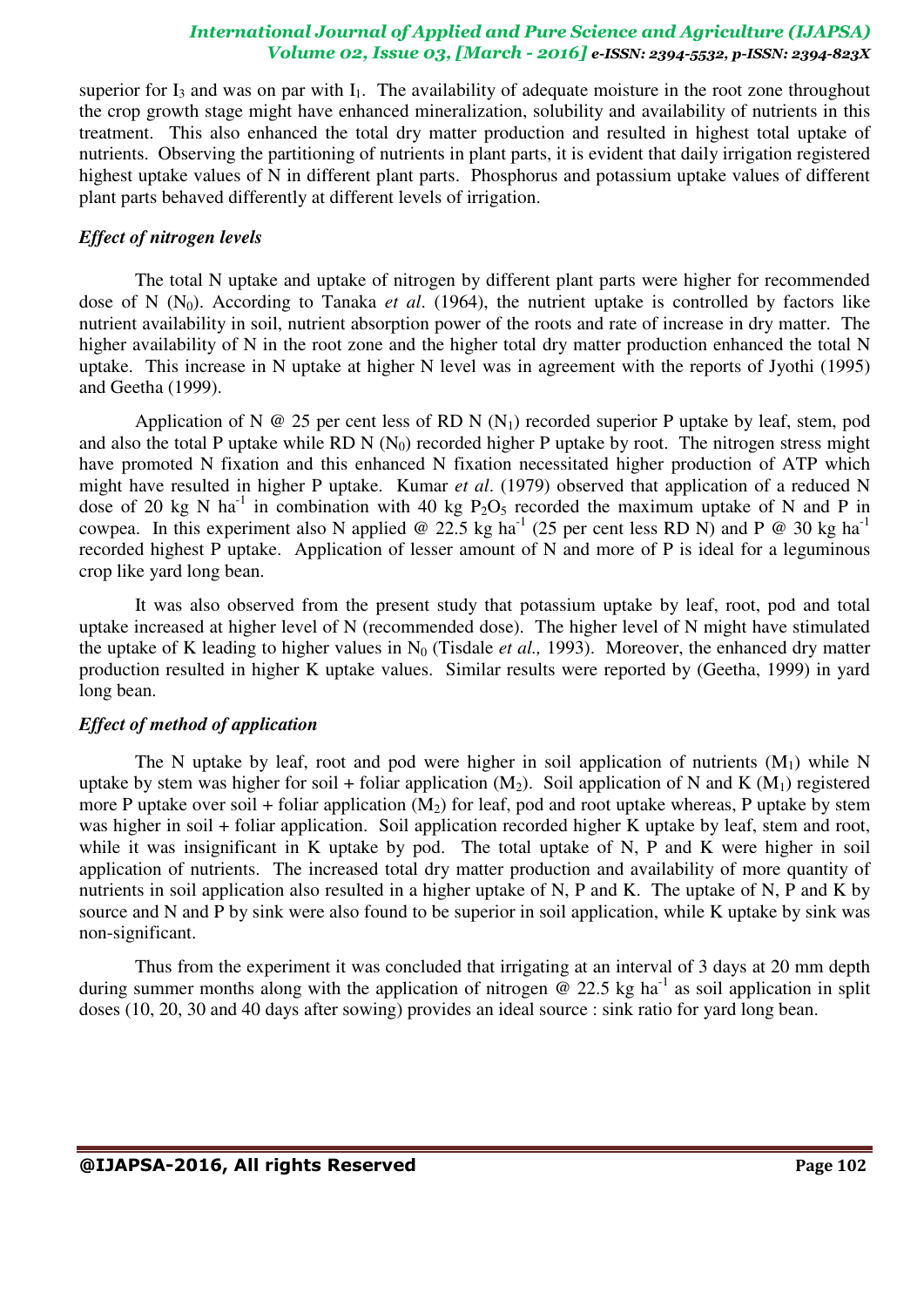superior for  $I_3$  and was on par with  $I_1$ . The availability of adequate moisture in the root zone throughout the crop growth stage might have enhanced mineralization, solubility and availability of nutrients in this treatment. This also enhanced the total dry matter production and resulted in highest total uptake of nutrients. Observing the partitioning of nutrients in plant parts, it is evident that daily irrigation registered highest uptake values of N in different plant parts. Phosphorus and potassium uptake values of different plant parts behaved differently at different levels of irrigation.

## *Effect of nitrogen levels*

 The total N uptake and uptake of nitrogen by different plant parts were higher for recommended dose of N  $(N_0)$ . According to Tanaka *et al.* (1964), the nutrient uptake is controlled by factors like nutrient availability in soil, nutrient absorption power of the roots and rate of increase in dry matter. The higher availability of N in the root zone and the higher total dry matter production enhanced the total N uptake. This increase in N uptake at higher N level was in agreement with the reports of Jyothi (1995) and Geetha (1999).

Application of N  $\omega$  25 per cent less of RD N  $(N_1)$  recorded superior P uptake by leaf, stem, pod and also the total P uptake while RD N  $(N_0)$  recorded higher P uptake by root. The nitrogen stress might have promoted N fixation and this enhanced N fixation necessitated higher production of ATP which might have resulted in higher P uptake. Kumar *et al*. (1979) observed that application of a reduced N dose of 20 kg N ha<sup>-1</sup> in combination with 40 kg P<sub>2</sub>O<sub>5</sub> recorded the maximum uptake of N and P in cowpea. In this experiment also N applied @ 22.5 kg ha<sup>-1</sup> (25 per cent less RD N) and P @ 30 kg ha<sup>-1</sup> recorded highest P uptake. Application of lesser amount of N and more of P is ideal for a leguminous crop like yard long bean.

 It was also observed from the present study that potassium uptake by leaf, root, pod and total uptake increased at higher level of N (recommended dose). The higher level of N might have stimulated the uptake of K leading to higher values in  $N_0$  (Tisdale *et al.,* 1993). Moreover, the enhanced dry matter production resulted in higher K uptake values. Similar results were reported by (Geetha, 1999) in yard long bean.

#### *Effect of method of application*

The N uptake by leaf, root and pod were higher in soil application of nutrients  $(M_1)$  while N uptake by stem was higher for soil + foliar application  $(M_2)$ . Soil application of N and K  $(M_1)$  registered more P uptake over soil + foliar application  $(M_2)$  for leaf, pod and root uptake whereas, P uptake by stem was higher in soil + foliar application. Soil application recorded higher K uptake by leaf, stem and root, while it was insignificant in K uptake by pod. The total uptake of N, P and K were higher in soil application of nutrients. The increased total dry matter production and availability of more quantity of nutrients in soil application also resulted in a higher uptake of N, P and K. The uptake of N, P and K by source and N and P by sink were also found to be superior in soil application, while K uptake by sink was non-significant.

 Thus from the experiment it was concluded that irrigating at an interval of 3 days at 20 mm depth during summer months along with the application of nitrogen  $\phi$  22.5 kg ha<sup>-1</sup> as soil application in split doses (10, 20, 30 and 40 days after sowing) provides an ideal source : sink ratio for yard long bean.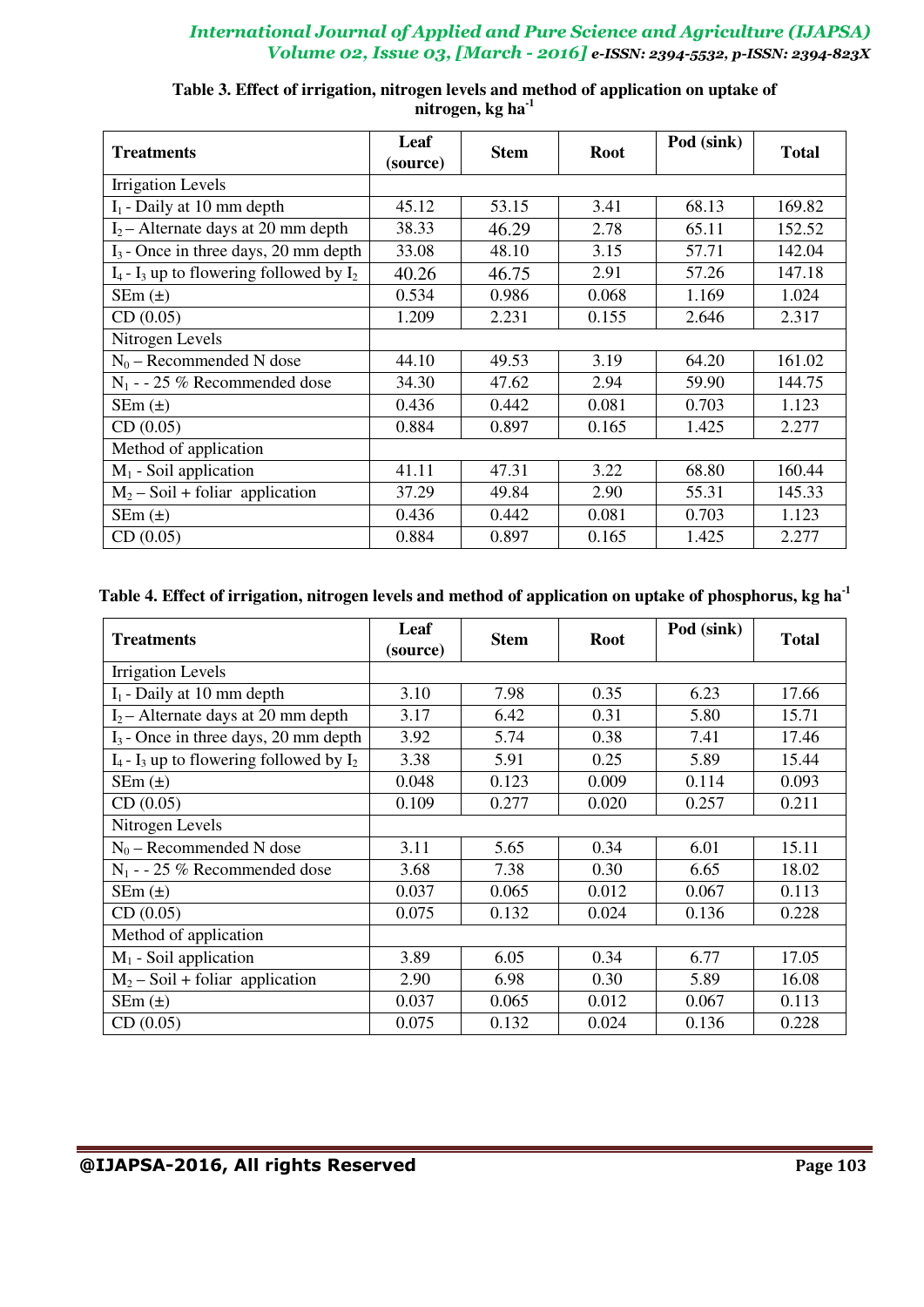| <b>Treatments</b>                               | Leaf<br>(source) | <b>Stem</b> | <b>Root</b> | Pod (sink) | <b>Total</b> |
|-------------------------------------------------|------------------|-------------|-------------|------------|--------------|
| <b>Irrigation Levels</b>                        |                  |             |             |            |              |
| $I_1$ - Daily at 10 mm depth                    | 45.12            | 53.15       | 3.41        | 68.13      | 169.82       |
| $I_2$ – Alternate days at 20 mm depth           | 38.33            | 46.29       | 2.78        | 65.11      | 152.52       |
| $I_3$ - Once in three days, 20 mm depth         | 33.08            | 48.10       | 3.15        | 57.71      | 142.04       |
| $I_4$ - $I_3$ up to flowering followed by $I_2$ | 40.26            | 46.75       | 2.91        | 57.26      | 147.18       |
| $SEm(\pm)$                                      | 0.534            | 0.986       | 0.068       | 1.169      | 1.024        |
| CD(0.05)                                        | 1.209            | 2.231       | 0.155       | 2.646      | 2.317        |
| Nitrogen Levels                                 |                  |             |             |            |              |
| $N_0$ – Recommended N dose                      | 44.10            | 49.53       | 3.19        | 64.20      | 161.02       |
| $N_1$ - - 25 % Recommended dose                 | 34.30            | 47.62       | 2.94        | 59.90      | 144.75       |
| $SEm(\pm)$                                      | 0.436            | 0.442       | 0.081       | 0.703      | 1.123        |
| CD(0.05)                                        | 0.884            | 0.897       | 0.165       | 1.425      | 2.277        |
| Method of application                           |                  |             |             |            |              |
| $M_1$ - Soil application                        | 41.11            | 47.31       | 3.22        | 68.80      | 160.44       |
| $M_2 -$ Soil + foliar application               | 37.29            | 49.84       | 2.90        | 55.31      | 145.33       |
| $SEm(\pm)$                                      | 0.436            | 0.442       | 0.081       | 0.703      | 1.123        |
| CD(0.05)                                        | 0.884            | 0.897       | 0.165       | 1.425      | 2.277        |

## **Table 3. Effect of irrigation, nitrogen levels and method of application on uptake of nitrogen, kg ha-1**

# **Table 4. Effect of irrigation, nitrogen levels and method of application on uptake of phosphorus, kg ha-1**

| <b>Treatments</b>                               | Leaf<br>(source) | <b>Stem</b> | <b>Root</b> | Pod (sink) | <b>Total</b> |
|-------------------------------------------------|------------------|-------------|-------------|------------|--------------|
| <b>Irrigation Levels</b>                        |                  |             |             |            |              |
| $I_1$ - Daily at 10 mm depth                    | 3.10             | 7.98        | 0.35        | 6.23       | 17.66        |
| $I_2$ – Alternate days at 20 mm depth           | 3.17             | 6.42        | 0.31        | 5.80       | 15.71        |
| $I_3$ - Once in three days, 20 mm depth         | 3.92             | 5.74        | 0.38        | 7.41       | 17.46        |
| $I_4$ - $I_3$ up to flowering followed by $I_2$ | 3.38             | 5.91        | 0.25        | 5.89       | 15.44        |
| $SEm(\pm)$                                      | 0.048            | 0.123       | 0.009       | 0.114      | 0.093        |
| CD(0.05)                                        | 0.109            | 0.277       | 0.020       | 0.257      | 0.211        |
| Nitrogen Levels                                 |                  |             |             |            |              |
| $N_0$ – Recommended N dose                      | 3.11             | 5.65        | 0.34        | 6.01       | 15.11        |
| $N_1$ - - 25 % Recommended dose                 | 3.68             | 7.38        | 0.30        | 6.65       | 18.02        |
| $SEm(\pm)$                                      | 0.037            | 0.065       | 0.012       | 0.067      | 0.113        |
| CD(0.05)                                        | 0.075            | 0.132       | 0.024       | 0.136      | 0.228        |
| Method of application                           |                  |             |             |            |              |
| $M_1$ - Soil application                        | 3.89             | 6.05        | 0.34        | 6.77       | 17.05        |
| $M_2 -$ Soil + foliar application               | 2.90             | 6.98        | 0.30        | 5.89       | 16.08        |
| $SEm(\pm)$                                      | 0.037            | 0.065       | 0.012       | 0.067      | 0.113        |
| CD(0.05)                                        | 0.075            | 0.132       | 0.024       | 0.136      | 0.228        |